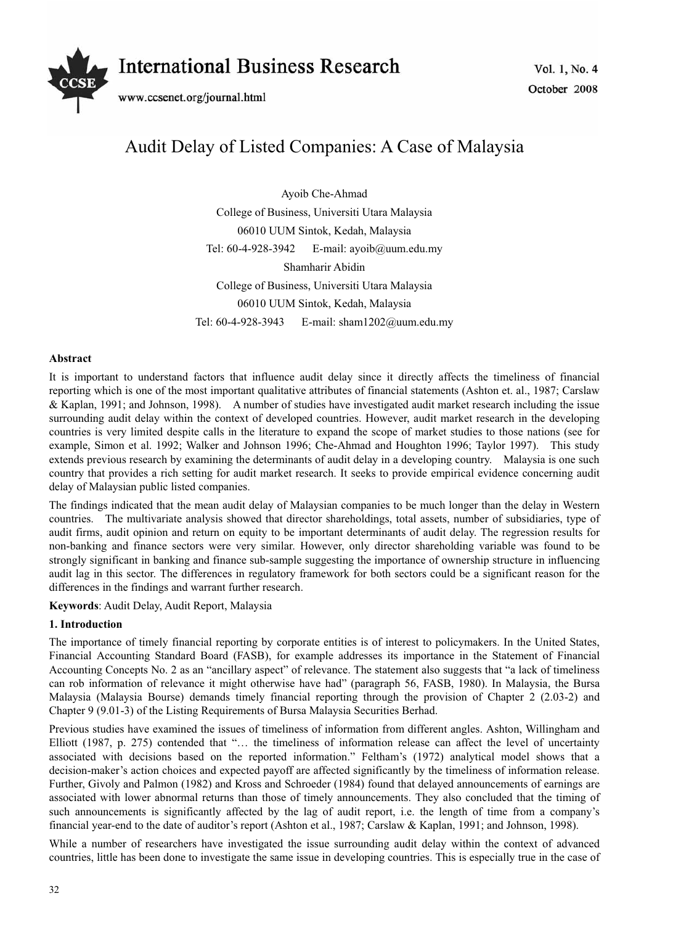

# Audit Delay of Listed Companies: A Case of Malaysia

Ayoib Che-Ahmad College of Business, Universiti Utara Malaysia 06010 UUM Sintok, Kedah, Malaysia Tel: 60-4-928-3942 E-mail: ayoib@uum.edu.my Shamharir Abidin College of Business, Universiti Utara Malaysia 06010 UUM Sintok, Kedah, Malaysia Tel: 60-4-928-3943 E-mail: sham1202@uum.edu.my

## **Abstract**

It is important to understand factors that influence audit delay since it directly affects the timeliness of financial reporting which is one of the most important qualitative attributes of financial statements (Ashton et. al., 1987; Carslaw & Kaplan, 1991; and Johnson, 1998). A number of studies have investigated audit market research including the issue surrounding audit delay within the context of developed countries. However, audit market research in the developing countries is very limited despite calls in the literature to expand the scope of market studies to those nations (see for example, Simon et al. 1992; Walker and Johnson 1996; Che-Ahmad and Houghton 1996; Taylor 1997). This study extends previous research by examining the determinants of audit delay in a developing country. Malaysia is one such country that provides a rich setting for audit market research. It seeks to provide empirical evidence concerning audit delay of Malaysian public listed companies.

The findings indicated that the mean audit delay of Malaysian companies to be much longer than the delay in Western countries. The multivariate analysis showed that director shareholdings, total assets, number of subsidiaries, type of audit firms, audit opinion and return on equity to be important determinants of audit delay. The regression results for non-banking and finance sectors were very similar. However, only director shareholding variable was found to be strongly significant in banking and finance sub-sample suggesting the importance of ownership structure in influencing audit lag in this sector. The differences in regulatory framework for both sectors could be a significant reason for the differences in the findings and warrant further research.

**Keywords**: Audit Delay, Audit Report, Malaysia

### **1. Introduction**

The importance of timely financial reporting by corporate entities is of interest to policymakers. In the United States, Financial Accounting Standard Board (FASB), for example addresses its importance in the Statement of Financial Accounting Concepts No. 2 as an "ancillary aspect" of relevance. The statement also suggests that "a lack of timeliness can rob information of relevance it might otherwise have had" (paragraph 56, FASB, 1980). In Malaysia, the Bursa Malaysia (Malaysia Bourse) demands timely financial reporting through the provision of Chapter 2 (2.03-2) and Chapter 9 (9.01-3) of the Listing Requirements of Bursa Malaysia Securities Berhad.

Previous studies have examined the issues of timeliness of information from different angles. Ashton, Willingham and Elliott (1987, p. 275) contended that "… the timeliness of information release can affect the level of uncertainty associated with decisions based on the reported information." Feltham's (1972) analytical model shows that a decision-maker's action choices and expected payoff are affected significantly by the timeliness of information release. Further, Givoly and Palmon (1982) and Kross and Schroeder (1984) found that delayed announcements of earnings are associated with lower abnormal returns than those of timely announcements. They also concluded that the timing of such announcements is significantly affected by the lag of audit report, i.e. the length of time from a company's financial year-end to the date of auditor's report (Ashton et al., 1987; Carslaw & Kaplan, 1991; and Johnson, 1998).

While a number of researchers have investigated the issue surrounding audit delay within the context of advanced countries, little has been done to investigate the same issue in developing countries. This is especially true in the case of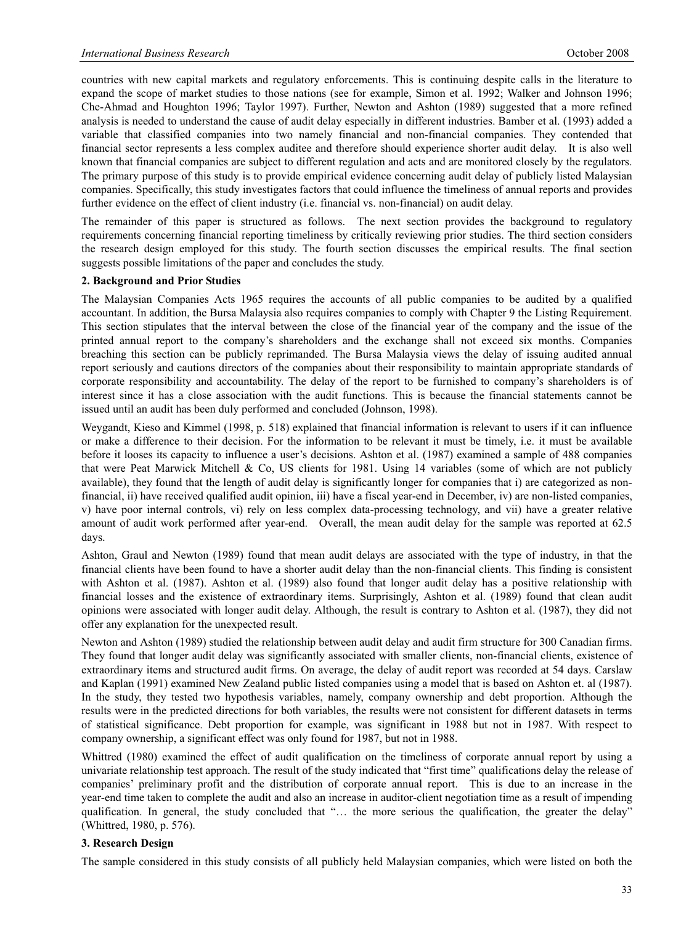countries with new capital markets and regulatory enforcements. This is continuing despite calls in the literature to expand the scope of market studies to those nations (see for example, Simon et al. 1992; Walker and Johnson 1996; Che-Ahmad and Houghton 1996; Taylor 1997). Further, Newton and Ashton (1989) suggested that a more refined analysis is needed to understand the cause of audit delay especially in different industries. Bamber et al. (1993) added a variable that classified companies into two namely financial and non-financial companies. They contended that financial sector represents a less complex auditee and therefore should experience shorter audit delay. It is also well known that financial companies are subject to different regulation and acts and are monitored closely by the regulators. The primary purpose of this study is to provide empirical evidence concerning audit delay of publicly listed Malaysian companies. Specifically, this study investigates factors that could influence the timeliness of annual reports and provides further evidence on the effect of client industry (i.e. financial vs. non-financial) on audit delay.

The remainder of this paper is structured as follows. The next section provides the background to regulatory requirements concerning financial reporting timeliness by critically reviewing prior studies. The third section considers the research design employed for this study. The fourth section discusses the empirical results. The final section suggests possible limitations of the paper and concludes the study.

#### **2. Background and Prior Studies**

The Malaysian Companies Acts 1965 requires the accounts of all public companies to be audited by a qualified accountant. In addition, the Bursa Malaysia also requires companies to comply with Chapter 9 the Listing Requirement. This section stipulates that the interval between the close of the financial year of the company and the issue of the printed annual report to the company's shareholders and the exchange shall not exceed six months. Companies breaching this section can be publicly reprimanded. The Bursa Malaysia views the delay of issuing audited annual report seriously and cautions directors of the companies about their responsibility to maintain appropriate standards of corporate responsibility and accountability. The delay of the report to be furnished to company's shareholders is of interest since it has a close association with the audit functions. This is because the financial statements cannot be issued until an audit has been duly performed and concluded (Johnson, 1998).

Weygandt, Kieso and Kimmel (1998, p. 518) explained that financial information is relevant to users if it can influence or make a difference to their decision. For the information to be relevant it must be timely, i.e. it must be available before it looses its capacity to influence a user's decisions. Ashton et al. (1987) examined a sample of 488 companies that were Peat Marwick Mitchell & Co, US clients for 1981. Using 14 variables (some of which are not publicly available), they found that the length of audit delay is significantly longer for companies that i) are categorized as nonfinancial, ii) have received qualified audit opinion, iii) have a fiscal year-end in December, iv) are non-listed companies, v) have poor internal controls, vi) rely on less complex data-processing technology, and vii) have a greater relative amount of audit work performed after year-end. Overall, the mean audit delay for the sample was reported at 62.5 days.

Ashton, Graul and Newton (1989) found that mean audit delays are associated with the type of industry, in that the financial clients have been found to have a shorter audit delay than the non-financial clients. This finding is consistent with Ashton et al. (1987). Ashton et al. (1989) also found that longer audit delay has a positive relationship with financial losses and the existence of extraordinary items. Surprisingly, Ashton et al. (1989) found that clean audit opinions were associated with longer audit delay. Although, the result is contrary to Ashton et al. (1987), they did not offer any explanation for the unexpected result.

Newton and Ashton (1989) studied the relationship between audit delay and audit firm structure for 300 Canadian firms. They found that longer audit delay was significantly associated with smaller clients, non-financial clients, existence of extraordinary items and structured audit firms. On average, the delay of audit report was recorded at 54 days. Carslaw and Kaplan (1991) examined New Zealand public listed companies using a model that is based on Ashton et. al (1987). In the study, they tested two hypothesis variables, namely, company ownership and debt proportion. Although the results were in the predicted directions for both variables, the results were not consistent for different datasets in terms of statistical significance. Debt proportion for example, was significant in 1988 but not in 1987. With respect to company ownership, a significant effect was only found for 1987, but not in 1988.

Whittred (1980) examined the effect of audit qualification on the timeliness of corporate annual report by using a univariate relationship test approach. The result of the study indicated that "first time" qualifications delay the release of companies' preliminary profit and the distribution of corporate annual report. This is due to an increase in the year-end time taken to complete the audit and also an increase in auditor-client negotiation time as a result of impending qualification. In general, the study concluded that "… the more serious the qualification, the greater the delay" (Whittred, 1980, p. 576).

### **3. Research Design**

The sample considered in this study consists of all publicly held Malaysian companies, which were listed on both the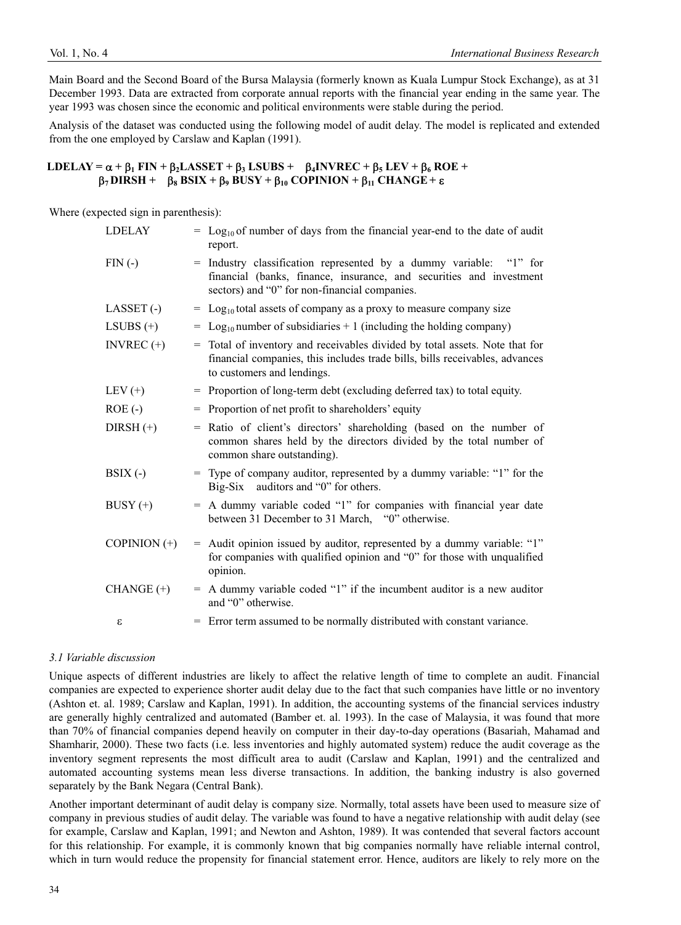Main Board and the Second Board of the Bursa Malaysia (formerly known as Kuala Lumpur Stock Exchange), as at 31 December 1993. Data are extracted from corporate annual reports with the financial year ending in the same year. The year 1993 was chosen since the economic and political environments were stable during the period.

Analysis of the dataset was conducted using the following model of audit delay. The model is replicated and extended from the one employed by Carslaw and Kaplan (1991).

# **LDELAY** =  $\alpha + \beta_1$  FIN +  $\beta_2$ **LASSET** +  $\beta_3$ **LSUBS** +  $\beta_4$ **INVREC** +  $\beta_5$ **LEV** +  $\beta_6$ **ROE** +  $\beta_7$  **DIRSH** +  $\beta_8$  **BSIX** +  $\beta_9$  **BUSY** +  $\beta_{10}$  **COPINION** +  $\beta_{11}$  **CHANGE** +  $\epsilon$

Where (expected sign in parenthesis):

| <b>LDELAY</b>         | $=$ Log <sub>10</sub> of number of days from the financial year-end to the date of audit<br>report.                                                                                        |
|-----------------------|--------------------------------------------------------------------------------------------------------------------------------------------------------------------------------------------|
| $FIN(-)$              | = Industry classification represented by a dummy variable: "1" for<br>financial (banks, finance, insurance, and securities and investment<br>sectors) and "0" for non-financial companies. |
| LASSET <sub>(-)</sub> | $=$ Log <sub>10</sub> total assets of company as a proxy to measure company size                                                                                                           |
| LSUBS $(+)$           | $=$ Log <sub>10</sub> number of subsidiaries $+1$ (including the holding company)                                                                                                          |
| INVREC $(+)$          | = Total of inventory and receivables divided by total assets. Note that for<br>financial companies, this includes trade bills, bills receivables, advances<br>to customers and lendings.   |
| LEV $(+)$             | = Proportion of long-term debt (excluding deferred tax) to total equity.                                                                                                                   |
| $ROE(-)$              | = Proportion of net profit to shareholders' equity                                                                                                                                         |
| $DIRSH (+)$           | = Ratio of client's directors' shareholding (based on the number of<br>common shares held by the directors divided by the total number of<br>common share outstanding).                    |
| $BSIX(-)$             | = Type of company auditor, represented by a dummy variable: "1" for the<br>auditors and "0" for others.<br>Big-Six                                                                         |
| $BUSY (+)$            | = A dummy variable coded "1" for companies with financial year date<br>between 31 December to 31 March, "0" otherwise.                                                                     |
| COPINION (+)          | = Audit opinion issued by auditor, represented by a dummy variable: "1"<br>for companies with qualified opinion and "0" for those with unqualified<br>opinion.                             |
| CHANGE $(+)$          | $=$ A dummy variable coded "1" if the incumbent auditor is a new auditor<br>and "0" otherwise.                                                                                             |
| ε                     | = Error term assumed to be normally distributed with constant variance.                                                                                                                    |

## *3.1 Variable discussion*

Unique aspects of different industries are likely to affect the relative length of time to complete an audit. Financial companies are expected to experience shorter audit delay due to the fact that such companies have little or no inventory (Ashton et. al. 1989; Carslaw and Kaplan, 1991). In addition, the accounting systems of the financial services industry are generally highly centralized and automated (Bamber et. al. 1993). In the case of Malaysia, it was found that more than 70% of financial companies depend heavily on computer in their day-to-day operations (Basariah, Mahamad and Shamharir, 2000). These two facts (i.e. less inventories and highly automated system) reduce the audit coverage as the inventory segment represents the most difficult area to audit (Carslaw and Kaplan, 1991) and the centralized and automated accounting systems mean less diverse transactions. In addition, the banking industry is also governed separately by the Bank Negara (Central Bank).

Another important determinant of audit delay is company size. Normally, total assets have been used to measure size of company in previous studies of audit delay. The variable was found to have a negative relationship with audit delay (see for example, Carslaw and Kaplan, 1991; and Newton and Ashton, 1989). It was contended that several factors account for this relationship. For example, it is commonly known that big companies normally have reliable internal control, which in turn would reduce the propensity for financial statement error. Hence, auditors are likely to rely more on the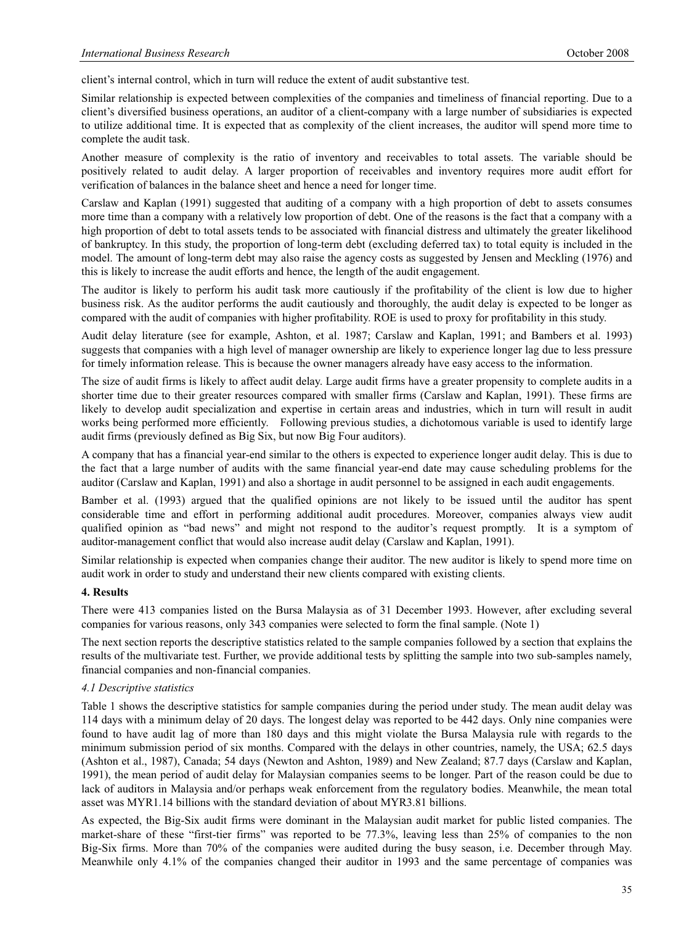client's internal control, which in turn will reduce the extent of audit substantive test.

Similar relationship is expected between complexities of the companies and timeliness of financial reporting. Due to a client's diversified business operations, an auditor of a client-company with a large number of subsidiaries is expected to utilize additional time. It is expected that as complexity of the client increases, the auditor will spend more time to complete the audit task.

Another measure of complexity is the ratio of inventory and receivables to total assets. The variable should be positively related to audit delay. A larger proportion of receivables and inventory requires more audit effort for verification of balances in the balance sheet and hence a need for longer time.

Carslaw and Kaplan (1991) suggested that auditing of a company with a high proportion of debt to assets consumes more time than a company with a relatively low proportion of debt. One of the reasons is the fact that a company with a high proportion of debt to total assets tends to be associated with financial distress and ultimately the greater likelihood of bankruptcy. In this study, the proportion of long-term debt (excluding deferred tax) to total equity is included in the model. The amount of long-term debt may also raise the agency costs as suggested by Jensen and Meckling (1976) and this is likely to increase the audit efforts and hence, the length of the audit engagement.

The auditor is likely to perform his audit task more cautiously if the profitability of the client is low due to higher business risk. As the auditor performs the audit cautiously and thoroughly, the audit delay is expected to be longer as compared with the audit of companies with higher profitability. ROE is used to proxy for profitability in this study.

Audit delay literature (see for example, Ashton, et al. 1987; Carslaw and Kaplan, 1991; and Bambers et al. 1993) suggests that companies with a high level of manager ownership are likely to experience longer lag due to less pressure for timely information release. This is because the owner managers already have easy access to the information.

The size of audit firms is likely to affect audit delay. Large audit firms have a greater propensity to complete audits in a shorter time due to their greater resources compared with smaller firms (Carslaw and Kaplan, 1991). These firms are likely to develop audit specialization and expertise in certain areas and industries, which in turn will result in audit works being performed more efficiently. Following previous studies, a dichotomous variable is used to identify large audit firms (previously defined as Big Six, but now Big Four auditors).

A company that has a financial year-end similar to the others is expected to experience longer audit delay. This is due to the fact that a large number of audits with the same financial year-end date may cause scheduling problems for the auditor (Carslaw and Kaplan, 1991) and also a shortage in audit personnel to be assigned in each audit engagements.

Bamber et al. (1993) argued that the qualified opinions are not likely to be issued until the auditor has spent considerable time and effort in performing additional audit procedures. Moreover, companies always view audit qualified opinion as "bad news" and might not respond to the auditor's request promptly. It is a symptom of auditor-management conflict that would also increase audit delay (Carslaw and Kaplan, 1991).

Similar relationship is expected when companies change their auditor. The new auditor is likely to spend more time on audit work in order to study and understand their new clients compared with existing clients.

### **4. Results**

There were 413 companies listed on the Bursa Malaysia as of 31 December 1993. However, after excluding several companies for various reasons, only 343 companies were selected to form the final sample. (Note 1)

The next section reports the descriptive statistics related to the sample companies followed by a section that explains the results of the multivariate test. Further, we provide additional tests by splitting the sample into two sub-samples namely, financial companies and non-financial companies.

#### *4.1 Descriptive statistics*

Table 1 shows the descriptive statistics for sample companies during the period under study. The mean audit delay was 114 days with a minimum delay of 20 days. The longest delay was reported to be 442 days. Only nine companies were found to have audit lag of more than 180 days and this might violate the Bursa Malaysia rule with regards to the minimum submission period of six months. Compared with the delays in other countries, namely, the USA; 62.5 days (Ashton et al., 1987), Canada; 54 days (Newton and Ashton, 1989) and New Zealand; 87.7 days (Carslaw and Kaplan, 1991), the mean period of audit delay for Malaysian companies seems to be longer. Part of the reason could be due to lack of auditors in Malaysia and/or perhaps weak enforcement from the regulatory bodies. Meanwhile, the mean total asset was MYR1.14 billions with the standard deviation of about MYR3.81 billions.

As expected, the Big-Six audit firms were dominant in the Malaysian audit market for public listed companies. The market-share of these "first-tier firms" was reported to be 77.3%, leaving less than 25% of companies to the non Big-Six firms. More than 70% of the companies were audited during the busy season, i.e. December through May. Meanwhile only 4.1% of the companies changed their auditor in 1993 and the same percentage of companies was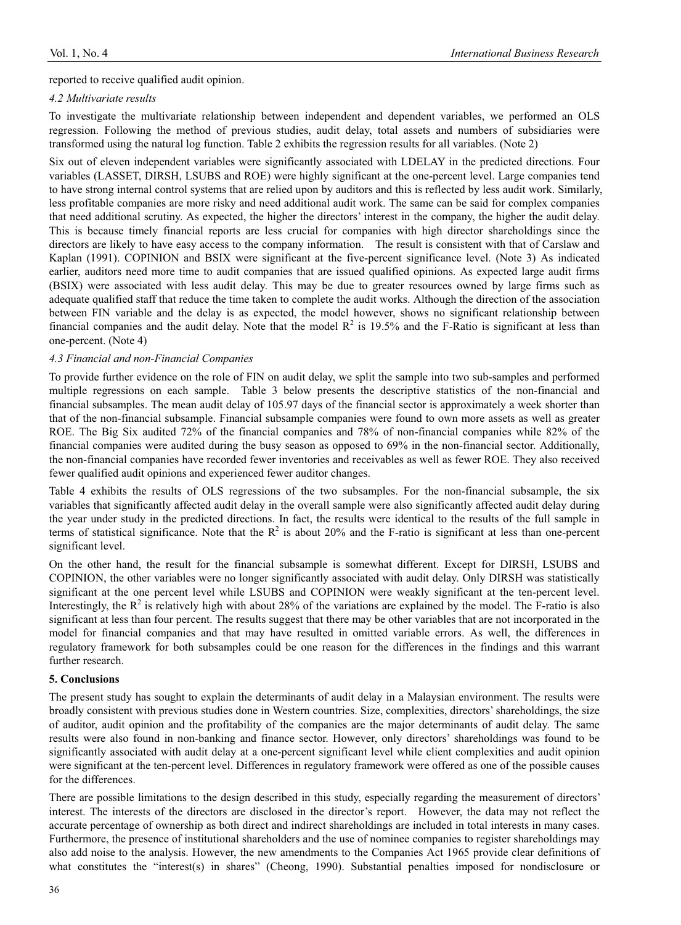reported to receive qualified audit opinion.

## *4.2 Multivariate results*

To investigate the multivariate relationship between independent and dependent variables, we performed an OLS regression. Following the method of previous studies, audit delay, total assets and numbers of subsidiaries were transformed using the natural log function. Table 2 exhibits the regression results for all variables. (Note 2)

Six out of eleven independent variables were significantly associated with LDELAY in the predicted directions. Four variables (LASSET, DIRSH, LSUBS and ROE) were highly significant at the one-percent level. Large companies tend to have strong internal control systems that are relied upon by auditors and this is reflected by less audit work. Similarly, less profitable companies are more risky and need additional audit work. The same can be said for complex companies that need additional scrutiny. As expected, the higher the directors' interest in the company, the higher the audit delay. This is because timely financial reports are less crucial for companies with high director shareholdings since the directors are likely to have easy access to the company information. The result is consistent with that of Carslaw and Kaplan (1991). COPINION and BSIX were significant at the five-percent significance level. (Note 3) As indicated earlier, auditors need more time to audit companies that are issued qualified opinions. As expected large audit firms (BSIX) were associated with less audit delay. This may be due to greater resources owned by large firms such as adequate qualified staff that reduce the time taken to complete the audit works. Although the direction of the association between FIN variable and the delay is as expected, the model however, shows no significant relationship between financial companies and the audit delay. Note that the model  $R^2$  is 19.5% and the F-Ratio is significant at less than one-percent. (Note 4)

## *4.3 Financial and non-Financial Companies*

To provide further evidence on the role of FIN on audit delay, we split the sample into two sub-samples and performed multiple regressions on each sample. Table 3 below presents the descriptive statistics of the non-financial and financial subsamples. The mean audit delay of 105.97 days of the financial sector is approximately a week shorter than that of the non-financial subsample. Financial subsample companies were found to own more assets as well as greater ROE. The Big Six audited 72% of the financial companies and 78% of non-financial companies while 82% of the financial companies were audited during the busy season as opposed to 69% in the non-financial sector. Additionally, the non-financial companies have recorded fewer inventories and receivables as well as fewer ROE. They also received fewer qualified audit opinions and experienced fewer auditor changes.

Table 4 exhibits the results of OLS regressions of the two subsamples. For the non-financial subsample, the six variables that significantly affected audit delay in the overall sample were also significantly affected audit delay during the year under study in the predicted directions. In fact, the results were identical to the results of the full sample in terms of statistical significance. Note that the  $R^2$  is about 20% and the F-ratio is significant at less than one-percent significant level.

On the other hand, the result for the financial subsample is somewhat different. Except for DIRSH, LSUBS and COPINION, the other variables were no longer significantly associated with audit delay. Only DIRSH was statistically significant at the one percent level while LSUBS and COPINION were weakly significant at the ten-percent level. Interestingly, the  $R^2$  is relatively high with about 28% of the variations are explained by the model. The F-ratio is also significant at less than four percent. The results suggest that there may be other variables that are not incorporated in the model for financial companies and that may have resulted in omitted variable errors. As well, the differences in regulatory framework for both subsamples could be one reason for the differences in the findings and this warrant further research.

## **5. Conclusions**

The present study has sought to explain the determinants of audit delay in a Malaysian environment. The results were broadly consistent with previous studies done in Western countries. Size, complexities, directors' shareholdings, the size of auditor, audit opinion and the profitability of the companies are the major determinants of audit delay. The same results were also found in non-banking and finance sector. However, only directors' shareholdings was found to be significantly associated with audit delay at a one-percent significant level while client complexities and audit opinion were significant at the ten-percent level. Differences in regulatory framework were offered as one of the possible causes for the differences.

There are possible limitations to the design described in this study, especially regarding the measurement of directors' interest. The interests of the directors are disclosed in the director's report. However, the data may not reflect the accurate percentage of ownership as both direct and indirect shareholdings are included in total interests in many cases. Furthermore, the presence of institutional shareholders and the use of nominee companies to register shareholdings may also add noise to the analysis. However, the new amendments to the Companies Act 1965 provide clear definitions of what constitutes the "interest(s) in shares" (Cheong, 1990). Substantial penalties imposed for nondisclosure or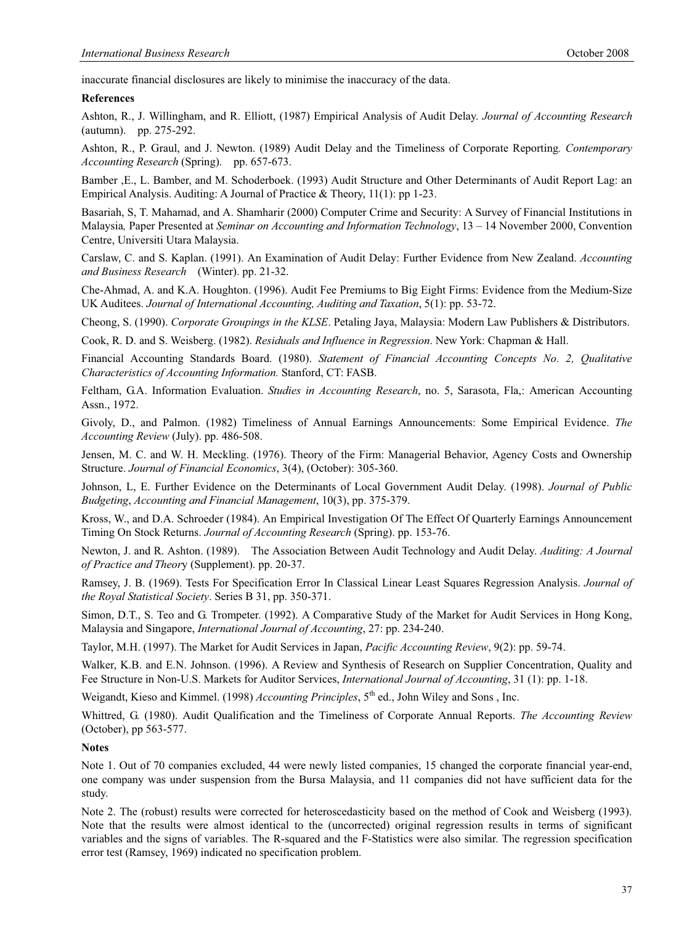inaccurate financial disclosures are likely to minimise the inaccuracy of the data.

### **References**

Ashton, R., J. Willingham, and R. Elliott, (1987) Empirical Analysis of Audit Delay. *Journal of Accounting Research*  (autumn). pp. 275-292.

Ashton, R., P. Graul, and J. Newton. (1989) Audit Delay and the Timeliness of Corporate Reporting*. Contemporary Accounting Research* (Spring). pp. 657-673.

Bamber ,E., L. Bamber, and M. Schoderboek. (1993) Audit Structure and Other Determinants of Audit Report Lag: an Empirical Analysis. Auditing: A Journal of Practice & Theory, 11(1): pp 1-23.

Basariah, S, T. Mahamad, and A. Shamharir (2000) Computer Crime and Security: A Survey of Financial Institutions in Malaysia*,* Paper Presented at *Seminar on Accounting and Information Technology*, 13 – 14 November 2000, Convention Centre, Universiti Utara Malaysia.

Carslaw, C. and S. Kaplan. (1991). An Examination of Audit Delay: Further Evidence from New Zealand. *Accounting and Business Research* (Winter). pp. 21-32.

Che-Ahmad, A. and K.A. Houghton. (1996). Audit Fee Premiums to Big Eight Firms: Evidence from the Medium-Size UK Auditees. *Journal of International Accounting, Auditing and Taxation*, 5(1): pp. 53-72.

Cheong, S. (1990). *Corporate Groupings in the KLSE*. Petaling Jaya, Malaysia: Modern Law Publishers & Distributors.

Cook, R. D. and S. Weisberg. (1982). *Residuals and Influence in Regression*. New York: Chapman & Hall.

Financial Accounting Standards Board. (1980). *Statement of Financial Accounting Concepts No. 2, Qualitative Characteristics of Accounting Information.* Stanford, CT: FASB.

Feltham, G.A. Information Evaluation. *Studies in Accounting Research*, no. 5, Sarasota, Fla,: American Accounting Assn., 1972.

Givoly, D., and Palmon. (1982) Timeliness of Annual Earnings Announcements: Some Empirical Evidence. *The Accounting Review* (July). pp. 486-508.

Jensen, M. C. and W. H. Meckling. (1976). Theory of the Firm: Managerial Behavior, Agency Costs and Ownership Structure. *Journal of Financial Economics*, 3(4), (October): 305-360.

Johnson, L, E. Further Evidence on the Determinants of Local Government Audit Delay. (1998). *Journal of Public Budgeting*, *Accounting and Financial Management*, 10(3), pp. 375-379.

Kross, W., and D.A. Schroeder (1984). An Empirical Investigation Of The Effect Of Quarterly Earnings Announcement Timing On Stock Returns. *Journal of Accounting Research* (Spring). pp. 153-76.

Newton, J. and R. Ashton. (1989). The Association Between Audit Technology and Audit Delay. *Auditing: A Journal of Practice and Theor*y (Supplement). pp. 20-37.

Ramsey, J. B. (1969). Tests For Specification Error In Classical Linear Least Squares Regression Analysis. *Journal of the Royal Statistical Society*. Series B 31, pp. 350-371.

Simon, D.T., S. Teo and G. Trompeter. (1992). A Comparative Study of the Market for Audit Services in Hong Kong, Malaysia and Singapore, *International Journal of Accounting*, 27: pp. 234-240.

Taylor, M.H. (1997). The Market for Audit Services in Japan, *Pacific Accounting Review*, 9(2): pp. 59-74.

Walker, K.B. and E.N. Johnson. (1996). A Review and Synthesis of Research on Supplier Concentration, Quality and Fee Structure in Non-U.S. Markets for Auditor Services, *International Journal of Accounting*, 31 (1): pp. 1-18.

Weigandt, Kieso and Kimmel. (1998) *Accounting Principles*, 5<sup>th</sup> ed., John Wiley and Sons, Inc.

Whittred, G. (1980). Audit Qualification and the Timeliness of Corporate Annual Reports. *The Accounting Review* (October), pp 563-577.

#### **Notes**

Note 1. Out of 70 companies excluded, 44 were newly listed companies, 15 changed the corporate financial year-end, one company was under suspension from the Bursa Malaysia, and 11 companies did not have sufficient data for the study.

Note 2. The (robust) results were corrected for heteroscedasticity based on the method of Cook and Weisberg (1993). Note that the results were almost identical to the (uncorrected) original regression results in terms of significant variables and the signs of variables. The R-squared and the F-Statistics were also similar. The regression specification error test (Ramsey, 1969) indicated no specification problem.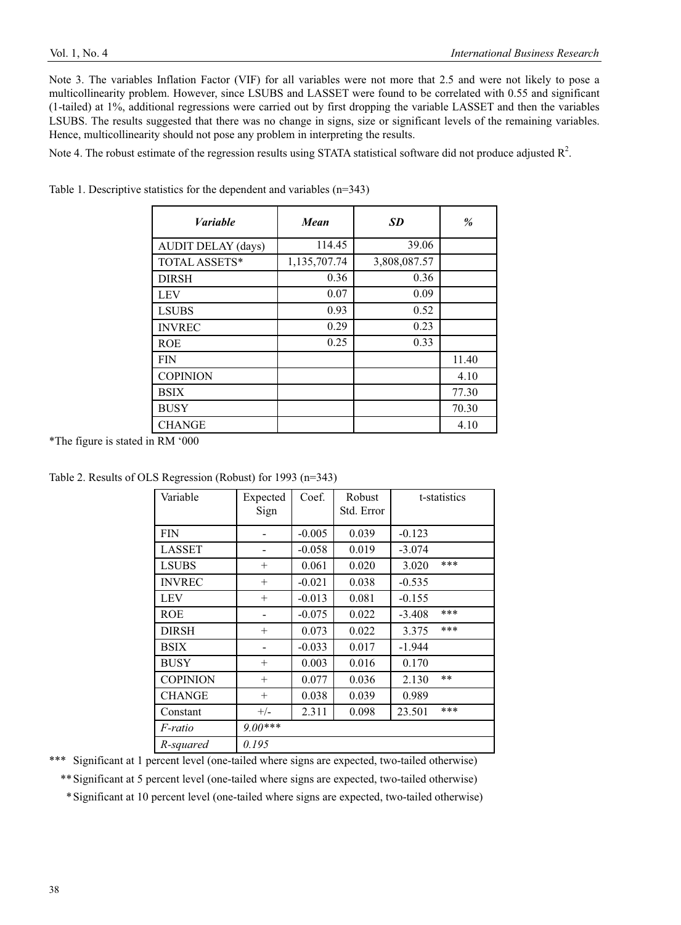Note 3. The variables Inflation Factor (VIF) for all variables were not more that 2.5 and were not likely to pose a multicollinearity problem. However, since LSUBS and LASSET were found to be correlated with 0.55 and significant (1-tailed) at 1%, additional regressions were carried out by first dropping the variable LASSET and then the variables LSUBS. The results suggested that there was no change in signs, size or significant levels of the remaining variables. Hence, multicollinearity should not pose any problem in interpreting the results.

Note 4. The robust estimate of the regression results using STATA statistical software did not produce adjusted  $\mathbb{R}^2$ .

| <b>Variable</b>           | Mean         | <b>SD</b>    | %     |
|---------------------------|--------------|--------------|-------|
| <b>AUDIT DELAY (days)</b> | 114.45       | 39.06        |       |
| TOTAL ASSETS*             | 1,135,707.74 | 3,808,087.57 |       |
| <b>DIRSH</b>              | 0.36         | 0.36         |       |
| <b>LEV</b>                | 0.07         | 0.09         |       |
| <b>LSUBS</b>              | 0.93         | 0.52         |       |
| <b>INVREC</b>             | 0.29         | 0.23         |       |
| <b>ROE</b>                | 0.25         | 0.33         |       |
| <b>FIN</b>                |              |              | 11.40 |
| <b>COPINION</b>           |              |              | 4.10  |
| <b>BSIX</b>               |              |              | 77.30 |
| <b>BUSY</b>               |              |              | 70.30 |
| <b>CHANGE</b>             |              |              | 4.10  |

Table 1. Descriptive statistics for the dependent and variables (n=343)

\*The figure is stated in RM '000

|  | Table 2. Results of OLS Regression (Robust) for 1993 $(n=343)$ |  |  |
|--|----------------------------------------------------------------|--|--|
|  |                                                                |  |  |

| Variable        | Expected  | Coef.    | Robust     | t-statistics    |
|-----------------|-----------|----------|------------|-----------------|
|                 | Sign      |          | Std. Error |                 |
|                 |           |          |            |                 |
| <b>FIN</b>      |           | $-0.005$ | 0.039      | $-0.123$        |
| <b>LASSET</b>   |           | $-0.058$ | 0.019      | $-3.074$        |
| <b>LSUBS</b>    | $^{+}$    | 0.061    | 0.020      | ***<br>3.020    |
| <b>INVREC</b>   | $^{+}$    | $-0.021$ | 0.038      | $-0.535$        |
| <b>LEV</b>      | $^{+}$    | $-0.013$ | 0.081      | $-0.155$        |
| <b>ROE</b>      |           | $-0.075$ | 0.022      | ***<br>$-3.408$ |
| <b>DIRSH</b>    | $^{+}$    | 0.073    | 0.022      | ***<br>3.375    |
| <b>BSIX</b>     |           | $-0.033$ | 0.017      | $-1.944$        |
| <b>BUSY</b>     | $^{+}$    | 0.003    | 0.016      | 0.170           |
| <b>COPINION</b> | $^{+}$    | 0.077    | 0.036      | **<br>2.130     |
| <b>CHANGE</b>   | $^{+}$    | 0.038    | 0.039      | 0.989           |
| Constant        | $+/-$     | 2.311    | 0.098      | ***<br>23.501   |
| F-ratio         | $9.00***$ |          |            |                 |
| R-squared       | 0.195     |          |            |                 |

\*\*\* Significant at 1 percent level (one-tailed where signs are expected, two-tailed otherwise)

\*\* Significant at 5 percent level (one-tailed where signs are expected, two-tailed otherwise)

\* Significant at 10 percent level (one-tailed where signs are expected, two-tailed otherwise)